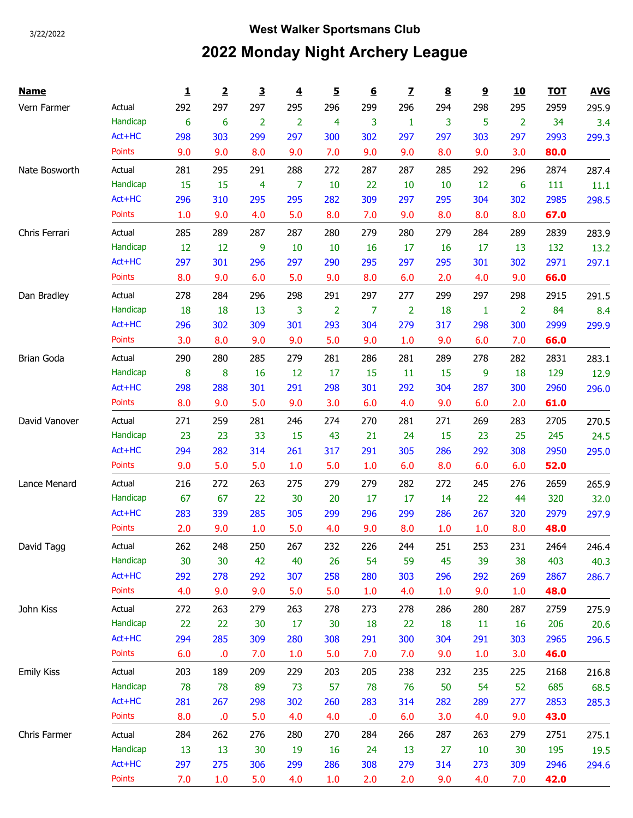## 3/22/2022 **West Walker Sportsmans Club 2022 Monday Night Archery League**

| <b>Name</b>       |               | 1   | 2   | $\overline{\mathbf{3}}$ | $\overline{\mathbf{4}}$ | <u>5</u>       | $\underline{6}$ | $\overline{\mathbf{Z}}$ | $\underline{\underline{8}}$ | $\overline{9}$ | <u>10</u>      | <b>TOT</b> | <b>AVG</b> |
|-------------------|---------------|-----|-----|-------------------------|-------------------------|----------------|-----------------|-------------------------|-----------------------------|----------------|----------------|------------|------------|
| Vern Farmer       | Actual        | 292 | 297 | 297                     | 295                     | 296            | 299             | 296                     | 294                         | 298            | 295            | 2959       | 295.9      |
|                   | Handicap      | 6   | 6   | $\overline{2}$          | $\overline{2}$          | 4              | 3               | 1                       | 3                           | 5              | $\overline{2}$ | 34         | 3.4        |
|                   | Act+HC        | 298 | 303 | 299                     | 297                     | 300            | 302             | 297                     | 297                         | 303            | 297            | 2993       | 299.3      |
|                   | <b>Points</b> | 9.0 | 9.0 | 8.0                     | 9.0                     | 7.0            | 9.0             | 9.0                     | 8.0                         | 9.0            | 3.0            | 80.0       |            |
| Nate Bosworth     | Actual        | 281 | 295 | 291                     | 288                     | 272            | 287             | 287                     | 285                         | 292            | 296            | 2874       | 287.4      |
|                   | Handicap      | 15  | 15  | $\overline{4}$          | 7                       | 10             | 22              | 10                      | 10                          | 12             | 6              | 111        | 11.1       |
|                   | Act+HC        | 296 | 310 | 295                     | 295                     | 282            | 309             | 297                     | 295                         | 304            | 302            | 2985       | 298.5      |
|                   | <b>Points</b> | 1.0 | 9.0 | 4.0                     | 5.0                     | 8.0            | 7.0             | 9.0                     | 8.0                         | 8.0            | 8.0            | 67.0       |            |
| Chris Ferrari     | Actual        | 285 | 289 | 287                     | 287                     | 280            | 279             | 280                     | 279                         | 284            | 289            | 2839       | 283.9      |
|                   | Handicap      | 12  | 12  | 9                       | 10                      | 10             | 16              | 17                      | 16                          | 17             | 13             | 132        | 13.2       |
|                   | Act+HC        | 297 | 301 | 296                     | 297                     | 290            | 295             | 297                     | 295                         | 301            | 302            | 2971       | 297.1      |
|                   | <b>Points</b> | 8.0 | 9.0 | 6.0                     | 5.0                     | 9.0            | 8.0             | 6.0                     | 2.0                         | 4.0            | 9.0            | 66.0       |            |
| Dan Bradley       | Actual        | 278 | 284 | 296                     | 298                     | 291            | 297             | 277                     | 299                         | 297            | 298            | 2915       | 291.5      |
|                   | Handicap      | 18  | 18  | 13                      | 3                       | $\overline{2}$ | 7               | $\overline{2}$          | 18                          | 1              | $\overline{2}$ | 84         | 8.4        |
|                   | Act+HC        | 296 | 302 | 309                     | 301                     | 293            | 304             | 279                     | 317                         | 298            | 300            | 2999       | 299.9      |
|                   | <b>Points</b> | 3.0 | 8.0 | 9.0                     | 9.0                     | 5.0            | 9.0             | 1.0                     | 9.0                         | 6.0            | 7.0            | 66.0       |            |
| <b>Brian Goda</b> | Actual        | 290 | 280 | 285                     | 279                     | 281            | 286             | 281                     | 289                         | 278            | 282            | 2831       | 283.1      |
|                   | Handicap      | 8   | 8   | 16                      | 12                      | 17             | 15              | 11                      | 15                          | 9              | 18             | 129        | 12.9       |
|                   | Act+HC        | 298 | 288 | 301                     | 291                     | 298            | 301             | 292                     | 304                         | 287            | 300            | 2960       | 296.0      |
|                   | <b>Points</b> | 8.0 | 9.0 | 5.0                     | 9.0                     | 3.0            | 6.0             | 4.0                     | 9.0                         | 6.0            | 2.0            | 61.0       |            |
| David Vanover     | Actual        | 271 | 259 | 281                     | 246                     | 274            | 270             | 281                     | 271                         | 269            | 283            | 2705       | 270.5      |
|                   | Handicap      | 23  | 23  | 33                      | 15                      | 43             | 21              | 24                      | 15                          | 23             | 25             | 245        | 24.5       |
|                   | Act+HC        | 294 | 282 | 314                     | 261                     | 317            | 291             | 305                     | 286                         | 292            | 308            | 2950       | 295.0      |
|                   | <b>Points</b> | 9.0 | 5.0 | 5.0                     | 1.0                     | 5.0            | 1.0             | 6.0                     | 8.0                         | 6.0            | 6.0            | 52.0       |            |
| Lance Menard      | Actual        | 216 | 272 | 263                     | 275                     | 279            | 279             | 282                     | 272                         | 245            | 276            | 2659       | 265.9      |
|                   | Handicap      | 67  | 67  | 22                      | 30                      | 20             | 17              | 17                      | 14                          | 22             | 44             | 320        | 32.0       |
|                   | Act+HC        | 283 | 339 | 285                     | 305                     | 299            | 296             | 299                     | 286                         | 267            | 320            | 2979       | 297.9      |
|                   | <b>Points</b> | 2.0 | 9.0 | 1.0                     | 5.0                     | 4.0            | 9.0             | 8.0                     | 1.0                         | 1.0            | 8.0            | 48.0       |            |
| David Tagg        | Actual        | 262 | 248 | 250                     | 267                     | 232            | 226             | 244                     | 251                         | 253            | 231            | 2464       | 246.4      |
|                   | Handicap      | 30  | 30  | 42                      | 40                      | 26             | 54              | 59                      | 45                          | 39             | 38             | 403        | 40.3       |
|                   | Act+HC        | 292 | 278 | 292                     | 307                     | 258            | 280             | 303                     | 296                         | 292            | 269            | 2867       | 286.7      |
|                   | <b>Points</b> | 4.0 | 9.0 | 9.0                     | 5.0                     | 5.0            | 1.0             | 4.0                     | 1.0                         | 9.0            | 1.0            | 48.0       |            |
| John Kiss         | Actual        | 272 | 263 | 279                     | 263                     | 278            | 273             | 278                     | 286                         | 280            | 287            | 2759       | 275.9      |
|                   | Handicap      | 22  | 22  | 30                      | 17                      | 30             | 18              | 22                      | 18                          | 11             | 16             | 206        | 20.6       |
|                   | Act+HC        | 294 | 285 | 309                     | 280                     | 308            | 291             | 300                     | 304                         | 291            | 303            | 2965       | 296.5      |
|                   | <b>Points</b> | 6.0 | .0  | 7.0                     | 1.0                     | 5.0            | 7.0             | 7.0                     | 9.0                         | 1.0            | 3.0            | 46.0       |            |
| <b>Emily Kiss</b> | Actual        | 203 | 189 | 209                     | 229                     | 203            | 205             | 238                     | 232                         | 235            | 225            | 2168       | 216.8      |
|                   | Handicap      | 78  | 78  | 89                      | 73                      | 57             | 78              | 76                      | 50                          | 54             | 52             | 685        | 68.5       |
|                   | Act+HC        | 281 | 267 | 298                     | 302                     | 260            | 283             | 314                     | 282                         | 289            | 277            | 2853       | 285.3      |
|                   | Points        | 8.0 | 0.0 | 5.0                     | 4.0                     | 4.0            | .0              | 6.0                     | 3.0                         | 4.0            | 9.0            | 43.0       |            |
| Chris Farmer      | Actual        | 284 | 262 | 276                     | 280                     | 270            | 284             | 266                     | 287                         | 263            | 279            | 2751       | 275.1      |
|                   | Handicap      | 13  | 13  | 30                      | 19                      | 16             | 24              | 13                      | 27                          | 10             | 30             | 195        | 19.5       |
|                   | Act+HC        | 297 | 275 | 306                     | 299                     | 286            | 308             | 279                     | 314                         | 273            | 309            | 2946       | 294.6      |
|                   | Points        | 7.0 | 1.0 | 5.0                     | 4.0                     | 1.0            | 2.0             | 2.0                     | 9.0                         | 4.0            | 7.0            | 42.0       |            |